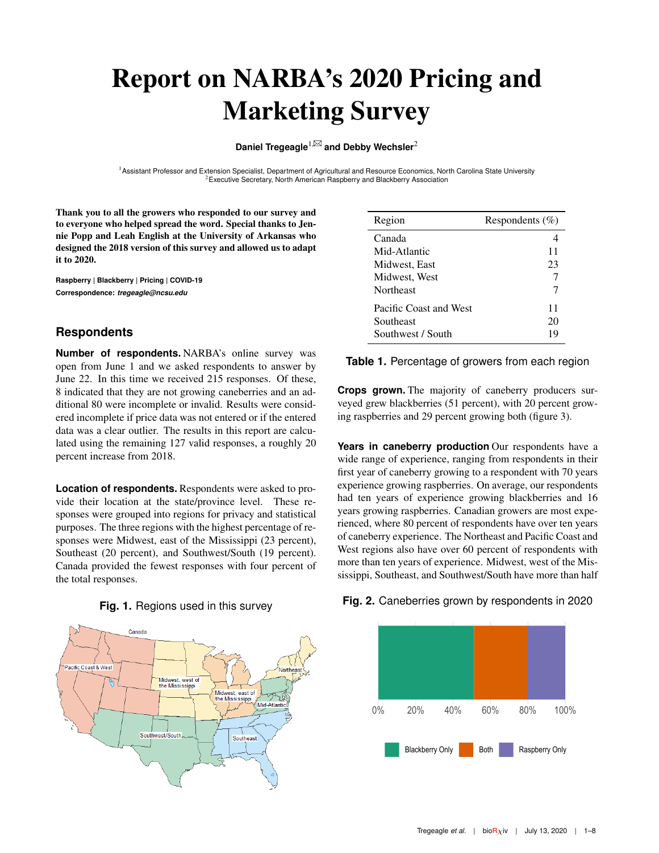# Report on NARBA's 2020 Pricing and Marketing Survey

**Daniel Tregeagle**<sup>1,⊠</sup> and Debby Wechsler<sup>2</sup>

<sup>1</sup> Assistant Professor and Extension Specialist, Department of Agricultural and Resource Economics, North Carolina State University  $2$ Executive Secretary, North American Raspberry and Blackberry Association

Thank you to all the growers who responded to our survey and to everyone who helped spread the word. Special thanks to Jennie Popp and Leah English at the University of Arkansas who designed the 2018 version of this survey and allowed us to adapt it to 2020.

**Raspberry | Blackberry | Pricing | COVID-19 Correspondence:** *tregeagle@ncsu.edu*

# **Respondents**

**Number of respondents.** NARBA's online survey was open from June 1 and we asked respondents to answer by June 22. In this time we received 215 responses. Of these, 8 indicated that they are not growing caneberries and an additional 80 were incomplete or invalid. Results were considered incomplete if price data was not entered or if the entered data was a clear outlier. The results in this report are calculated using the remaining 127 valid responses, a roughly 20 percent increase from 2018.

**Location of respondents.** Respondents were asked to provide their location at the state/province level. These responses were grouped into regions for privacy and statistical purposes. The three regions with the highest percentage of responses were Midwest, east of the Mississippi (23 percent), Southeast (20 percent), and Southwest/South (19 percent). Canada provided the fewest responses with four percent of the total responses.



**Fig. 1.** Regions used in this survey

| Region                 | Respondents $(\% )$ |
|------------------------|---------------------|
| Canada                 |                     |
| Mid-Atlantic           | 11                  |
| Midwest, East          | 23                  |
| Midwest, West          |                     |
| Northeast              |                     |
| Pacific Coast and West | 11                  |
| Southeast              | 20                  |
| Southwest / South      | 19                  |

#### **Table 1.** Percentage of growers from each region

**Crops grown.** The majority of caneberry producers surveyed grew blackberries (51 percent), with 20 percent growing raspberries and 29 percent growing both (figure [3\)](#page-1-0).

**Years in caneberry production** Our respondents have a wide range of experience, ranging from respondents in their first year of caneberry growing to a respondent with 70 years experience growing raspberries. On average, our respondents had ten years of experience growing blackberries and 16 years growing raspberries. Canadian growers are most experienced, where 80 percent of respondents have over ten years of caneberry experience. The Northeast and Pacific Coast and West regions also have over 60 percent of respondents with more than ten years of experience. Midwest, west of the Mississippi, Southeast, and Southwest/South have more than half

#### **Fig. 2.** Caneberries grown by respondents in 2020

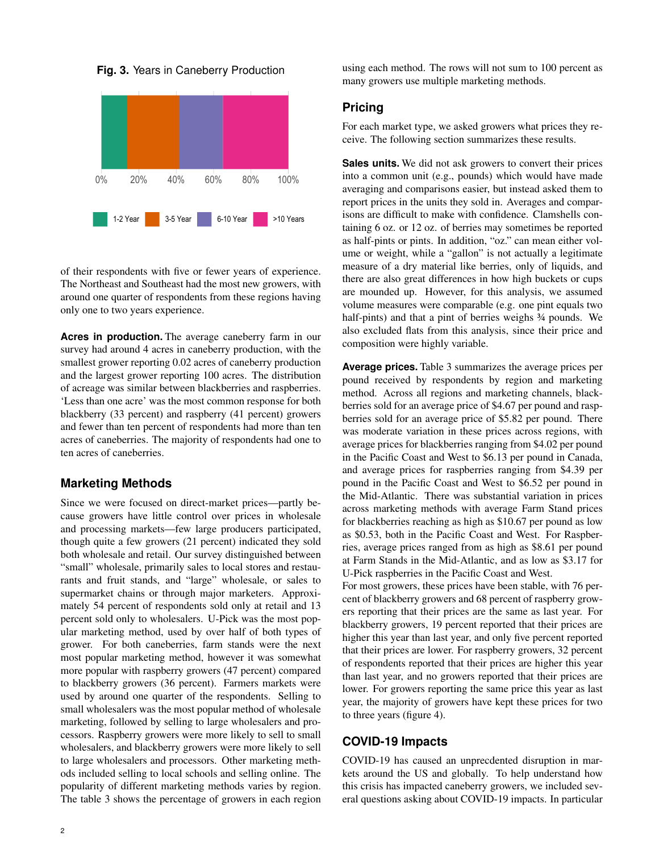<span id="page-1-0"></span>



of their respondents with five or fewer years of experience. The Northeast and Southeast had the most new growers, with around one quarter of respondents from these regions having only one to two years experience.

**Acres in production.** The average caneberry farm in our survey had around 4 acres in caneberry production, with the smallest grower reporting 0.02 acres of caneberry production and the largest grower reporting 100 acres. The distribution of acreage was similar between blackberries and raspberries. 'Less than one acre' was the most common response for both blackberry (33 percent) and raspberry (41 percent) growers and fewer than ten percent of respondents had more than ten acres of caneberries. The majority of respondents had one to ten acres of caneberries.

# **Marketing Methods**

Since we were focused on direct-market prices—partly because growers have little control over prices in wholesale and processing markets—few large producers participated, though quite a few growers (21 percent) indicated they sold both wholesale and retail. Our survey distinguished between "small" wholesale, primarily sales to local stores and restaurants and fruit stands, and "large" wholesale, or sales to supermarket chains or through major marketers. Approximately 54 percent of respondents sold only at retail and 13 percent sold only to wholesalers. U-Pick was the most popular marketing method, used by over half of both types of grower. For both caneberries, farm stands were the next most popular marketing method, however it was somewhat more popular with raspberry growers (47 percent) compared to blackberry growers (36 percent). Farmers markets were used by around one quarter of the respondents. Selling to small wholesalers was the most popular method of wholesale marketing, followed by selling to large wholesalers and processors. Raspberry growers were more likely to sell to small wholesalers, and blackberry growers were more likely to sell to large wholesalers and processors. Other marketing methods included selling to local schools and selling online. The popularity of different marketing methods varies by region. The table [3](#page-2-0) shows the percentage of growers in each region using each method. The rows will not sum to 100 percent as many growers use multiple marketing methods.

#### **Pricing**

For each market type, we asked growers what prices they receive. The following section summarizes these results.

**Sales units.** We did not ask growers to convert their prices into a common unit (e.g., pounds) which would have made averaging and comparisons easier, but instead asked them to report prices in the units they sold in. Averages and comparisons are difficult to make with confidence. Clamshells containing 6 oz. or 12 oz. of berries may sometimes be reported as half-pints or pints. In addition, "oz." can mean either volume or weight, while a "gallon" is not actually a legitimate measure of a dry material like berries, only of liquids, and there are also great differences in how high buckets or cups are mounded up. However, for this analysis, we assumed volume measures were comparable (e.g. one pint equals two half-pints) and that a pint of berries weighs  $\frac{3}{4}$  pounds. We also excluded flats from this analysis, since their price and composition were highly variable.

**Average prices.** Table [3](#page-2-0) summarizes the average prices per pound received by respondents by region and marketing method. Across all regions and marketing channels, blackberries sold for an average price of \$4.67 per pound and raspberries sold for an average price of \$5.82 per pound. There was moderate variation in these prices across regions, with average prices for blackberries ranging from \$4.02 per pound in the Pacific Coast and West to \$6.13 per pound in Canada, and average prices for raspberries ranging from \$4.39 per pound in the Pacific Coast and West to \$6.52 per pound in the Mid-Atlantic. There was substantial variation in prices across marketing methods with average Farm Stand prices for blackberries reaching as high as \$10.67 per pound as low as \$0.53, both in the Pacific Coast and West. For Raspberries, average prices ranged from as high as \$8.61 per pound at Farm Stands in the Mid-Atlantic, and as low as \$3.17 for U-Pick raspberries in the Pacific Coast and West.

For most growers, these prices have been stable, with 76 percent of blackberry growers and 68 percent of raspberry growers reporting that their prices are the same as last year. For blackberry growers, 19 percent reported that their prices are higher this year than last year, and only five percent reported that their prices are lower. For raspberry growers, 32 percent of respondents reported that their prices are higher this year than last year, and no growers reported that their prices are lower. For growers reporting the same price this year as last year, the majority of growers have kept these prices for two to three years (figure [4\)](#page-3-0).

# **COVID-19 Impacts**

COVID-19 has caused an unprecdented disruption in markets around the US and globally. To help understand how this crisis has impacted caneberry growers, we included several questions asking about COVID-19 impacts. In particular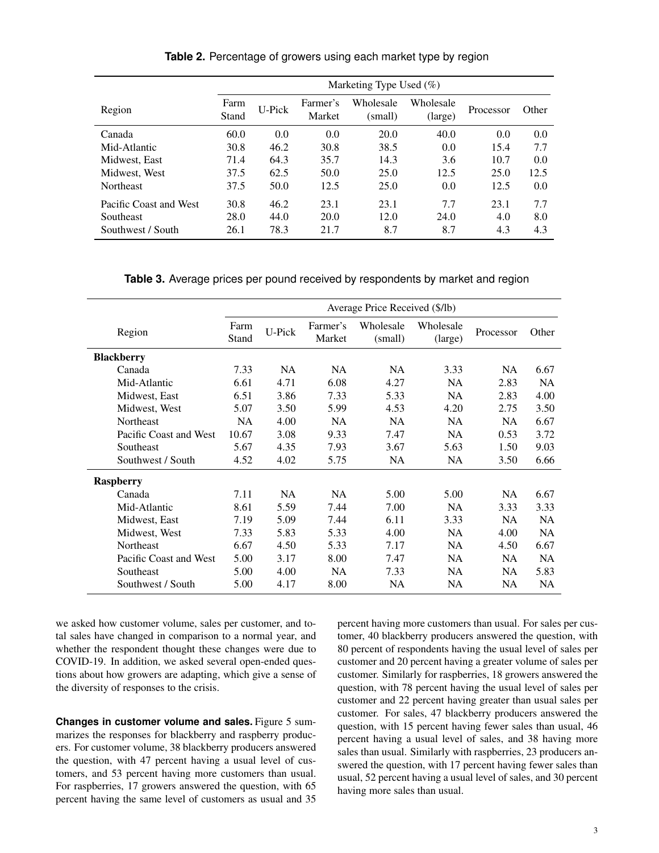|                        | Marketing Type Used $(\%)$ |        |                    |                      |                      |           |       |
|------------------------|----------------------------|--------|--------------------|----------------------|----------------------|-----------|-------|
| Region                 | Farm<br>Stand              | U-Pick | Farmer's<br>Market | Wholesale<br>(small) | Wholesale<br>(large) | Processor | Other |
| Canada                 | 60.0                       | 0.0    | 0.0                | 20.0                 | 40.0                 | 0.0       | 0.0   |
| Mid-Atlantic           | 30.8                       | 46.2   | 30.8               | 38.5                 | 0.0                  | 15.4      | 7.7   |
| Midwest, East          | 71.4                       | 64.3   | 35.7               | 14.3                 | 3.6                  | 10.7      | 0.0   |
| Midwest, West          | 37.5                       | 62.5   | 50.0               | 25.0                 | 12.5                 | 25.0      | 12.5  |
| <b>Northeast</b>       | 37.5                       | 50.0   | 12.5               | 25.0                 | 0.0                  | 12.5      | 0.0   |
| Pacific Coast and West | 30.8                       | 46.2   | 23.1               | 23.1                 | 7.7                  | 23.1      | 7.7   |
| Southeast              | 28.0                       | 44.0   | 20.0               | 12.0                 | 24.0                 | 4.0       | 8.0   |
| Southwest / South      | 26.1                       | 78.3   | 21.7               | 8.7                  | 8.7                  | 4.3       | 4.3   |

**Table 2.** Percentage of growers using each market type by region

**Table 3.** Average prices per pound received by respondents by market and region

<span id="page-2-0"></span>

|                        | Average Price Received (\$/lb) |           |                    |                      |                      |           |           |
|------------------------|--------------------------------|-----------|--------------------|----------------------|----------------------|-----------|-----------|
| Region                 | Farm<br>Stand                  | U-Pick    | Farmer's<br>Market | Wholesale<br>(small) | Wholesale<br>(large) | Processor | Other     |
| <b>Blackberry</b>      |                                |           |                    |                      |                      |           |           |
| Canada                 | 7.33                           | <b>NA</b> | <b>NA</b>          | <b>NA</b>            | 3.33                 | <b>NA</b> | 6.67      |
| Mid-Atlantic           | 6.61                           | 4.71      | 6.08               | 4.27                 | NA                   | 2.83      | <b>NA</b> |
| Midwest, East          | 6.51                           | 3.86      | 7.33               | 5.33                 | <b>NA</b>            | 2.83      | 4.00      |
| Midwest, West          | 5.07                           | 3.50      | 5.99               | 4.53                 | 4.20                 | 2.75      | 3.50      |
| Northeast              | <b>NA</b>                      | 4.00      | NA                 | <b>NA</b>            | <b>NA</b>            | <b>NA</b> | 6.67      |
| Pacific Coast and West | 10.67                          | 3.08      | 9.33               | 7.47                 | <b>NA</b>            | 0.53      | 3.72      |
| Southeast              | 5.67                           | 4.35      | 7.93               | 3.67                 | 5.63                 | 1.50      | 9.03      |
| Southwest / South      | 4.52                           | 4.02      | 5.75               | <b>NA</b>            | <b>NA</b>            | 3.50      | 6.66      |
| <b>Raspberry</b>       |                                |           |                    |                      |                      |           |           |
| Canada                 | 7.11                           | NA        | <b>NA</b>          | 5.00                 | 5.00                 | <b>NA</b> | 6.67      |
| Mid-Atlantic           | 8.61                           | 5.59      | 7.44               | 7.00                 | <b>NA</b>            | 3.33      | 3.33      |
| Midwest, East          | 7.19                           | 5.09      | 7.44               | 6.11                 | 3.33                 | <b>NA</b> | <b>NA</b> |
| Midwest, West          | 7.33                           | 5.83      | 5.33               | 4.00                 | NA                   | 4.00      | <b>NA</b> |
| <b>Northeast</b>       | 6.67                           | 4.50      | 5.33               | 7.17                 | NA                   | 4.50      | 6.67      |
| Pacific Coast and West | 5.00                           | 3.17      | 8.00               | 7.47                 | <b>NA</b>            | <b>NA</b> | <b>NA</b> |
| Southeast              | 5.00                           | 4.00      | <b>NA</b>          | 7.33                 | NA                   | NA.       | 5.83      |
| Southwest / South      | 5.00                           | 4.17      | 8.00               | <b>NA</b>            | NA                   | <b>NA</b> | <b>NA</b> |

we asked how customer volume, sales per customer, and total sales have changed in comparison to a normal year, and whether the respondent thought these changes were due to COVID-19. In addition, we asked several open-ended questions about how growers are adapting, which give a sense of the diversity of responses to the crisis.

**Changes in customer volume and sales.** Figure [5](#page-3-1) summarizes the responses for blackberry and raspberry producers. For customer volume, 38 blackberry producers answered the question, with 47 percent having a usual level of customers, and 53 percent having more customers than usual. For raspberries, 17 growers answered the question, with 65 percent having the same level of customers as usual and 35 percent having more customers than usual. For sales per customer, 40 blackberry producers answered the question, with 80 percent of respondents having the usual level of sales per customer and 20 percent having a greater volume of sales per customer. Similarly for raspberries, 18 growers answered the question, with 78 percent having the usual level of sales per customer and 22 percent having greater than usual sales per customer. For sales, 47 blackberry producers answered the question, with 15 percent having fewer sales than usual, 46 percent having a usual level of sales, and 38 having more sales than usual. Similarly with raspberries, 23 producers answered the question, with 17 percent having fewer sales than usual, 52 percent having a usual level of sales, and 30 percent having more sales than usual.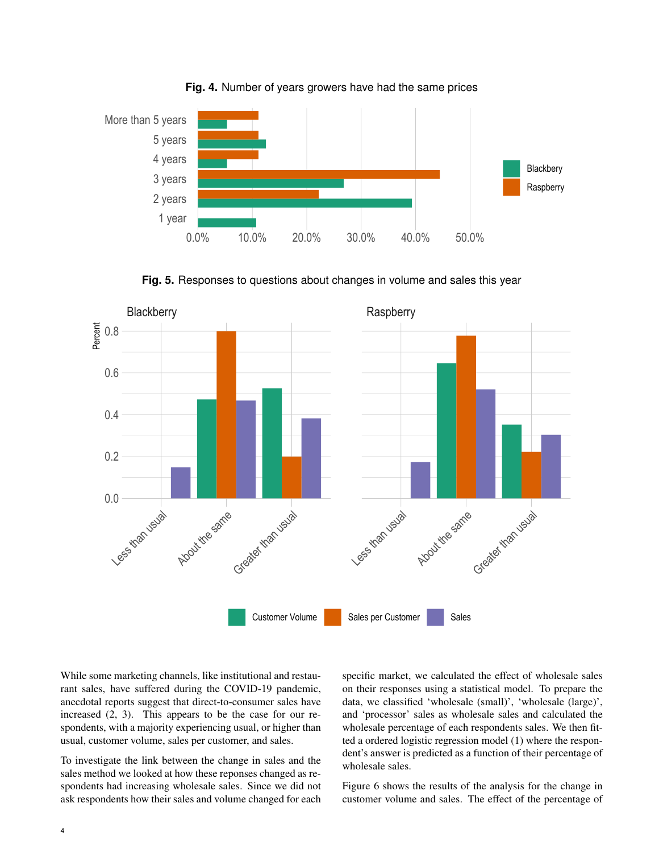<span id="page-3-0"></span>

**Fig. 4.** Number of years growers have had the same prices

**Fig. 5.** Responses to questions about changes in volume and sales this year

<span id="page-3-1"></span>

While some marketing channels, like institutional and restaurant sales, have suffered during the COVID-19 pandemic, anecdotal reports suggest that direct-to-consumer sales have increased [\(2,](#page-6-0) [3\)](#page-6-1). This appears to be the case for our respondents, with a majority experiencing usual, or higher than usual, customer volume, sales per customer, and sales.

To investigate the link between the change in sales and the sales method we looked at how these reponses changed as respondents had increasing wholesale sales. Since we did not ask respondents how their sales and volume changed for each

specific market, we calculated the effect of wholesale sales on their responses using a statistical model. To prepare the data, we classified 'wholesale (small)', 'wholesale (large)', and 'processor' sales as wholesale sales and calculated the wholesale percentage of each respondents sales. We then fitted a ordered logistic regression model [\(1\)](#page-6-2) where the respondent's answer is predicted as a function of their percentage of wholesale sales.

Figure [6](#page-5-0) shows the results of the analysis for the change in customer volume and sales. The effect of the percentage of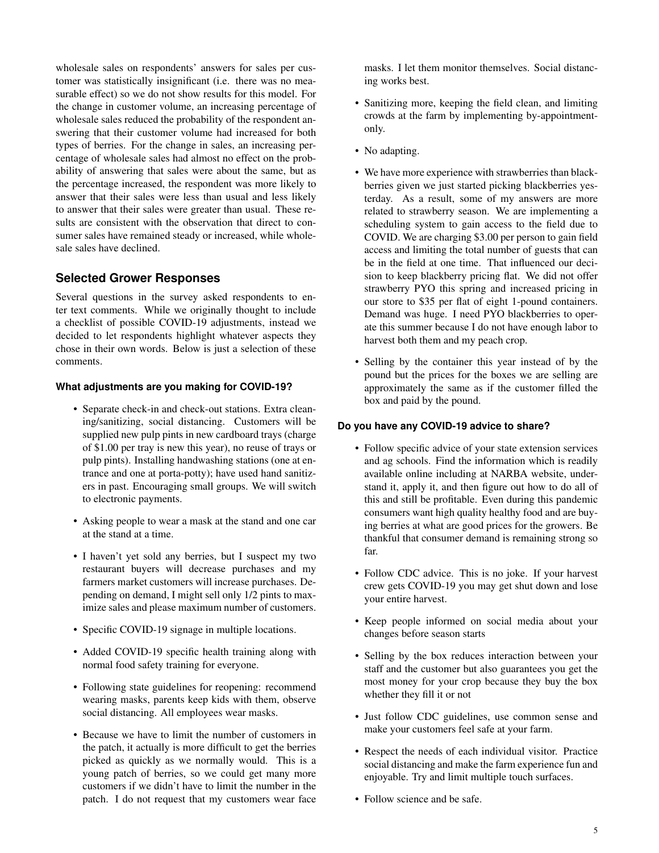wholesale sales on respondents' answers for sales per customer was statistically insignificant (i.e. there was no measurable effect) so we do not show results for this model. For the change in customer volume, an increasing percentage of wholesale sales reduced the probability of the respondent answering that their customer volume had increased for both types of berries. For the change in sales, an increasing percentage of wholesale sales had almost no effect on the probability of answering that sales were about the same, but as the percentage increased, the respondent was more likely to answer that their sales were less than usual and less likely to answer that their sales were greater than usual. These results are consistent with the observation that direct to consumer sales have remained steady or increased, while wholesale sales have declined.

# **Selected Grower Responses**

Several questions in the survey asked respondents to enter text comments. While we originally thought to include a checklist of possible COVID-19 adjustments, instead we decided to let respondents highlight whatever aspects they chose in their own words. Below is just a selection of these comments.

#### **What adjustments are you making for COVID-19?**

- Separate check-in and check-out stations. Extra cleaning/sanitizing, social distancing. Customers will be supplied new pulp pints in new cardboard trays (charge of \$1.00 per tray is new this year), no reuse of trays or pulp pints). Installing handwashing stations (one at entrance and one at porta-potty); have used hand sanitizers in past. Encouraging small groups. We will switch to electronic payments.
- Asking people to wear a mask at the stand and one car at the stand at a time.
- I haven't yet sold any berries, but I suspect my two restaurant buyers will decrease purchases and my farmers market customers will increase purchases. Depending on demand, I might sell only 1/2 pints to maximize sales and please maximum number of customers.
- Specific COVID-19 signage in multiple locations.
- Added COVID-19 specific health training along with normal food safety training for everyone.
- Following state guidelines for reopening: recommend wearing masks, parents keep kids with them, observe social distancing. All employees wear masks.
- Because we have to limit the number of customers in the patch, it actually is more difficult to get the berries picked as quickly as we normally would. This is a young patch of berries, so we could get many more customers if we didn't have to limit the number in the patch. I do not request that my customers wear face

masks. I let them monitor themselves. Social distancing works best.

- Sanitizing more, keeping the field clean, and limiting crowds at the farm by implementing by-appointmentonly.
- No adapting.
- We have more experience with strawberries than blackberries given we just started picking blackberries yesterday. As a result, some of my answers are more related to strawberry season. We are implementing a scheduling system to gain access to the field due to COVID. We are charging \$3.00 per person to gain field access and limiting the total number of guests that can be in the field at one time. That influenced our decision to keep blackberry pricing flat. We did not offer strawberry PYO this spring and increased pricing in our store to \$35 per flat of eight 1-pound containers. Demand was huge. I need PYO blackberries to operate this summer because I do not have enough labor to harvest both them and my peach crop.
- Selling by the container this year instead of by the pound but the prices for the boxes we are selling are approximately the same as if the customer filled the box and paid by the pound.

#### **Do you have any COVID-19 advice to share?**

- Follow specific advice of your state extension services and ag schools. Find the information which is readily available online including at NARBA website, understand it, apply it, and then figure out how to do all of this and still be profitable. Even during this pandemic consumers want high quality healthy food and are buying berries at what are good prices for the growers. Be thankful that consumer demand is remaining strong so far.
- Follow CDC advice. This is no joke. If your harvest crew gets COVID-19 you may get shut down and lose your entire harvest.
- Keep people informed on social media about your changes before season starts
- Selling by the box reduces interaction between your staff and the customer but also guarantees you get the most money for your crop because they buy the box whether they fill it or not
- Just follow CDC guidelines, use common sense and make your customers feel safe at your farm.
- Respect the needs of each individual visitor. Practice social distancing and make the farm experience fun and enjoyable. Try and limit multiple touch surfaces.
- Follow science and be safe.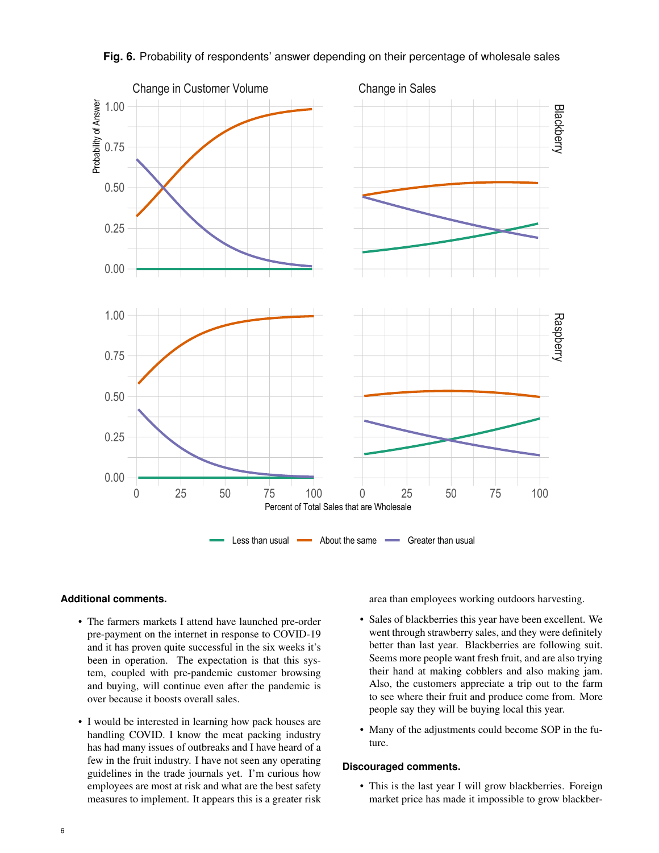<span id="page-5-0"></span>

### **Fig. 6.** Probability of respondents' answer depending on their percentage of wholesale sales

#### **Additional comments.**

- The farmers markets I attend have launched pre-order pre-payment on the internet in response to COVID-19 and it has proven quite successful in the six weeks it's been in operation. The expectation is that this system, coupled with pre-pandemic customer browsing and buying, will continue even after the pandemic is over because it boosts overall sales.
- I would be interested in learning how pack houses are handling COVID. I know the meat packing industry has had many issues of outbreaks and I have heard of a few in the fruit industry. I have not seen any operating guidelines in the trade journals yet. I'm curious how employees are most at risk and what are the best safety measures to implement. It appears this is a greater risk

area than employees working outdoors harvesting.

- Sales of blackberries this year have been excellent. We went through strawberry sales, and they were definitely better than last year. Blackberries are following suit. Seems more people want fresh fruit, and are also trying their hand at making cobblers and also making jam. Also, the customers appreciate a trip out to the farm to see where their fruit and produce come from. More people say they will be buying local this year.
- Many of the adjustments could become SOP in the future.

#### **Discouraged comments.**

• This is the last year I will grow blackberries. Foreign market price has made it impossible to grow blackber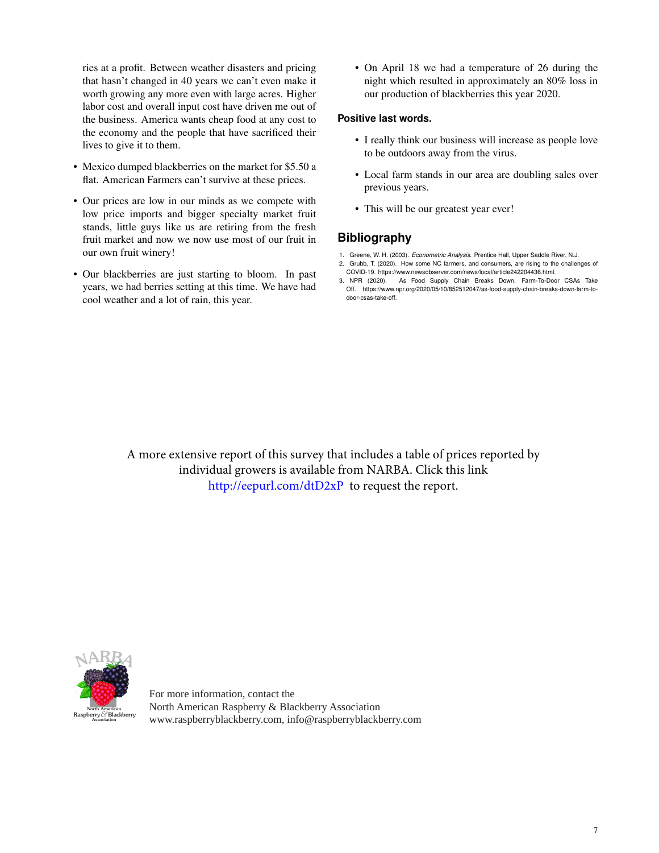ries at a profit. Between weather disasters and pricing that hasn't changed in 40 years we can't even make it worth growing any more even with large acres. Higher labor cost and overall input cost have driven me out of the business. America wants cheap food at any cost to the economy and the people that have sacrificed their lives to give it to them.

- Mexico dumped blackberries on the market for \$5.50 a flat. American Farmers can't survive at these prices.
- Our prices are low in our minds as we compete with low price imports and bigger specialty market fruit stands, little guys like us are retiring from the fresh fruit market and now we now use most of our fruit in our own fruit winery!
- Our blackberries are just starting to bloom. In past years, we had berries setting at this time. We have had cool weather and a lot of rain, this year.

• On April 18 we had a temperature of 26 during the night which resulted in approximately an 80% loss in our production of blackberries this year 2020.

#### **Positive last words.**

- I really think our business will increase as people love to be outdoors away from the virus.
- Local farm stands in our area are doubling sales over previous years.
- This will be our greatest year ever!

# **Bibliography**

- <span id="page-6-2"></span>1. Greene, W. H. (2003). *Econometric Analysis*. Prentice Hall, Upper Saddle River, N.J.
- <span id="page-6-0"></span>2. Grubb, T. (2020). How some NC farmers, and consumers, are rising to the challenges of COVID-19. https://www.newsobserver.com/news/local/article242204436.html.
- <span id="page-6-1"></span>3. NPR (2020). As Food Supply Chain Breaks Down, Farm-To-Door CSAs Take Off. https://www.npr.org/2020/05/10/852512047/as-food-supply-chain-breaks-down-farm-todoor-csas-take-off.

A more extensive report of this survey that includes a table of prices reported by individual growers is available from NARBA. Click this link [http://eepu](http://eepurl.com/dtD2xP)rl.com/dtD2xP to request the report.



For more information, contact the North American Raspberry & Blackberry Association www.raspberryblackberry.com, info@raspberryblackberry.com